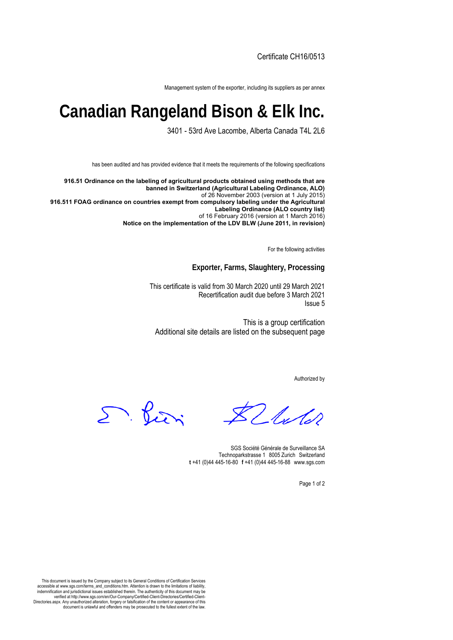Certificate CH16/0513

Management system of the exporter, including its suppliers as per annex

## **Canadian Rangeland Bison & Elk Inc.**

3401 - 53rd Ave Lacombe, Alberta Canada T4L 2L6

has been audited and has provided evidence that it meets the requirements of the following specifications

**916.51 Ordinance on the labeling of agricultural products obtained using methods that are banned in Switzerland (Agricultural Labeling Ordinance, ALO)** of 26 November 2003 (version at 1 July 2015) **916.511 FOAG ordinance on countries exempt from compulsory labeling under the Agricultural Labeling Ordinance (ALO country list)** of 16 February 2016 (version at 1 March 2016) **Notice on the implementation of the LDV BLW (June 2011, in revision)**

For the following activities

**Exporter, Farms, Slaughtery, Processing**

This certificate is valid from 30 March 2020 until 29 March 2021 Recertification audit due before 3 March 2021 Issue 5

This is a group certification Additional site details are listed on the subsequent page

Authorized by

2 luter

D. Pieri

SGS Société Générale de Surveillance SA Technoparkstrasse 1 8005 Zurich Switzerland **t** +41 (0)44 445-16-80□**f** +41 (0)44 445-16-88□www.sgs.com

Page 1 of 2

This document is issued by the Company subject to its General Conditions of Certification Services accessible at www.sgs.com/terms\_and\_conditions.htm. Attention is drawn to the limitations of liability, indemnification and jurisdictional issues established therein. The authenticity of this document may be verified at http://www.sgs.com/en/Our-Company/Certified-Client-Directories/Certified-Client-Directories.aspx. Any unauthorized alteration, forgery or falsification of the content or appearance of this document is unlawful and offenders may be prosecuted to the fullest extent of the law.